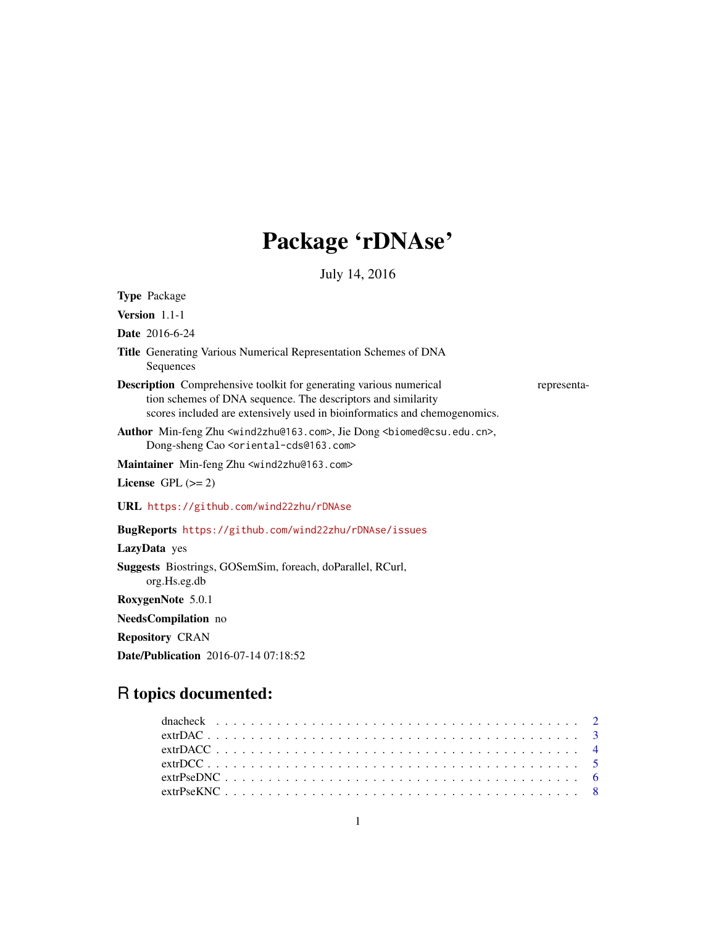# Package 'rDNAse'

July 14, 2016

<span id="page-0-0"></span>

| <b>Type Package</b>                                                                                                                                                                                                                   |  |  |
|---------------------------------------------------------------------------------------------------------------------------------------------------------------------------------------------------------------------------------------|--|--|
| <b>Version</b> $1.1-1$                                                                                                                                                                                                                |  |  |
| <b>Date</b> 2016-6-24                                                                                                                                                                                                                 |  |  |
| Title Generating Various Numerical Representation Schemes of DNA<br>Sequences                                                                                                                                                         |  |  |
| <b>Description</b> Comprehensive toolkit for generating various numerical<br>representa-<br>tion schemes of DNA sequence. The descriptors and similarity<br>scores included are extensively used in bioinformatics and chemogenomics. |  |  |
| Author Min-feng Zhu <wind2zhu@163.com>, Jie Dong <biomed@csu.edu.cn>,<br/>Dong-sheng Cao <oriental-cds@163.com></oriental-cds@163.com></biomed@csu.edu.cn></wind2zhu@163.com>                                                         |  |  |
| Maintainer Min-feng Zhu <wind2zhu@163.com></wind2zhu@163.com>                                                                                                                                                                         |  |  |
| License GPL $(>= 2)$                                                                                                                                                                                                                  |  |  |
| URL https://github.com/wind22zhu/rDNAse                                                                                                                                                                                               |  |  |
| BugReports https://github.com/wind22zhu/rDNAse/issues                                                                                                                                                                                 |  |  |
| LazyData yes                                                                                                                                                                                                                          |  |  |
| <b>Suggests</b> Biostrings, GOSemSim, foreach, doParallel, RCurl,<br>org.Hs.eg.db                                                                                                                                                     |  |  |
| RoxygenNote 5.0.1                                                                                                                                                                                                                     |  |  |
| <b>NeedsCompilation</b> no                                                                                                                                                                                                            |  |  |
| <b>Repository CRAN</b>                                                                                                                                                                                                                |  |  |

Date/Publication 2016-07-14 07:18:52

## R topics documented: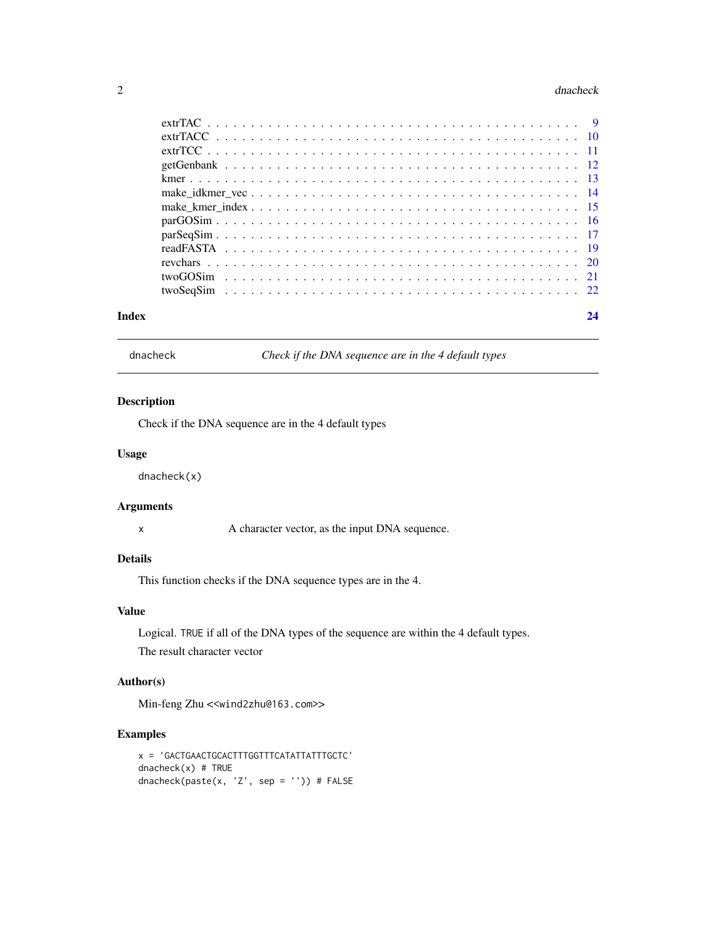#### <span id="page-1-0"></span>2 dnacheck and the contract of the contract of the contract of the contract of the contract of the contract of the contract of the contract of the contract of the contract of the contract of the contract of the contract of

| Index | 24 |
|-------|----|
|       |    |
|       |    |
|       |    |
|       |    |
|       |    |
|       |    |
|       |    |
|       |    |
|       |    |
|       |    |
|       |    |
|       |    |
|       |    |

dnacheck *Check if the DNA sequence are in the 4 default types*

#### Description

Check if the DNA sequence are in the 4 default types

#### Usage

dnacheck(x)

#### Arguments

x A character vector, as the input DNA sequence.

#### Details

This function checks if the DNA sequence types are in the 4.

#### Value

Logical. TRUE if all of the DNA types of the sequence are within the 4 default types. The result character vector

#### Author(s)

Min-feng Zhu <<wind2zhu@163.com>>

#### Examples

```
x = 'GACTGAACTGCACTTTGGTTTCATATTATTTGCTC'
dnacheck(x) # TRUE
dnacheck(paste(x, 'Z', sep = '')) # FALSE
```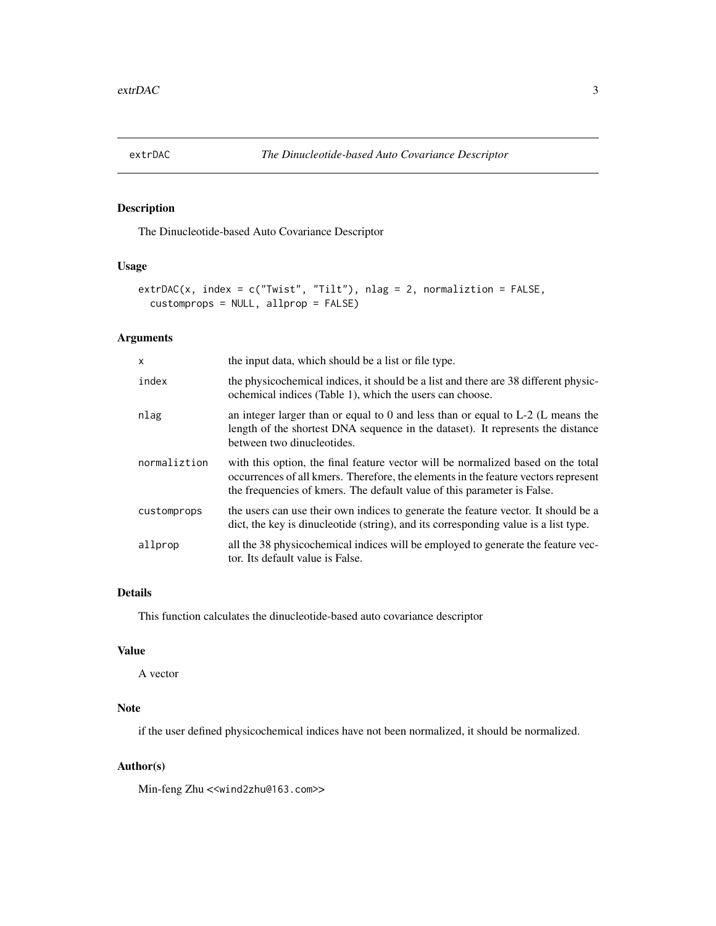<span id="page-2-1"></span><span id="page-2-0"></span>

The Dinucleotide-based Auto Covariance Descriptor

#### Usage

```
extrDAC(x, index = c("Twist", "Tilt"), nlag = 2, normaliztion = FALSE,
  customprops = NULL, allprop = FALSE)
```
#### Arguments

| X            | the input data, which should be a list or file type.                                                                                                                                                                                              |
|--------------|---------------------------------------------------------------------------------------------------------------------------------------------------------------------------------------------------------------------------------------------------|
| index        | the physicochemical indices, it should be a list and there are 38 different physic-<br>ochemical indices (Table 1), which the users can choose.                                                                                                   |
| nlag         | an integer larger than or equal to 0 and less than or equal to $L-2$ (L means the<br>length of the shortest DNA sequence in the dataset). It represents the distance<br>between two dinucleotides.                                                |
| normaliztion | with this option, the final feature vector will be normalized based on the total<br>occurrences of all kmers. Therefore, the elements in the feature vectors represent<br>the frequencies of kmers. The default value of this parameter is False. |
| customprops  | the users can use their own indices to generate the feature vector. It should be a<br>dict, the key is dinucleotide (string), and its corresponding value is a list type.                                                                         |
| allprop      | all the 38 physicochemical indices will be employed to generate the feature vec-<br>tor. Its default value is False.                                                                                                                              |

#### Details

This function calculates the dinucleotide-based auto covariance descriptor

### Value

A vector

#### Note

if the user defined physicochemical indices have not been normalized, it should be normalized.

#### Author(s)

Min-feng Zhu <<wind2zhu@163.com>>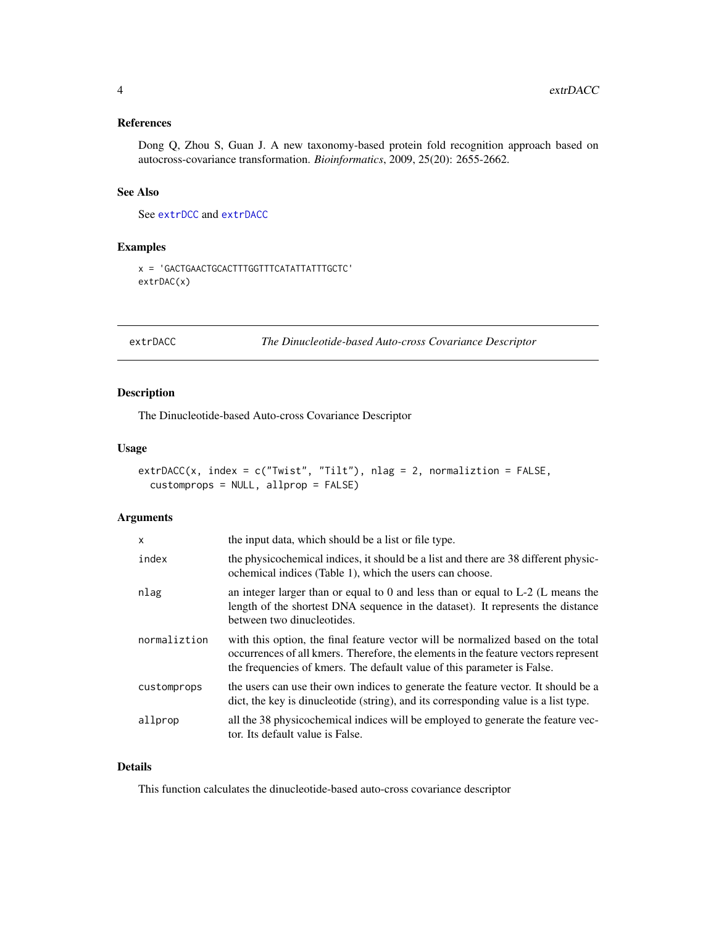#### <span id="page-3-0"></span>References

Dong Q, Zhou S, Guan J. A new taxonomy-based protein fold recognition approach based on autocross-covariance transformation. *Bioinformatics*, 2009, 25(20): 2655-2662.

#### See Also

See [extrDCC](#page-4-1) and [extrDACC](#page-3-1)

#### Examples

```
x = 'GACTGAACTGCACTTTGGTTTCATATTATTTGCTC'
extrDAC(x)
```
<span id="page-3-1"></span>extrDACC *The Dinucleotide-based Auto-cross Covariance Descriptor*

#### Description

The Dinucleotide-based Auto-cross Covariance Descriptor

#### Usage

```
extrDACC(x, index = c("Twist", "Tilt"), nlag = 2, normaliztion = FALSE,
  customprops = NULL, allprop = FALSE)
```
#### Arguments

| $\mathsf{x}$ | the input data, which should be a list or file type.                                                                                                                                                                                              |
|--------------|---------------------------------------------------------------------------------------------------------------------------------------------------------------------------------------------------------------------------------------------------|
| index        | the physicochemical indices, it should be a list and there are 38 different physic-<br>ochemical indices (Table 1), which the users can choose.                                                                                                   |
| nlag         | an integer larger than or equal to 0 and less than or equal to $L-2$ (L means the<br>length of the shortest DNA sequence in the dataset). It represents the distance<br>between two dinucleotides.                                                |
| normaliztion | with this option, the final feature vector will be normalized based on the total<br>occurrences of all kmers. Therefore, the elements in the feature vectors represent<br>the frequencies of kmers. The default value of this parameter is False. |
| customprops  | the users can use their own indices to generate the feature vector. It should be a<br>dict, the key is dinucleotide (string), and its corresponding value is a list type.                                                                         |
| allprop      | all the 38 physicochemical indices will be employed to generate the feature vec-<br>tor. Its default value is False.                                                                                                                              |

#### Details

This function calculates the dinucleotide-based auto-cross covariance descriptor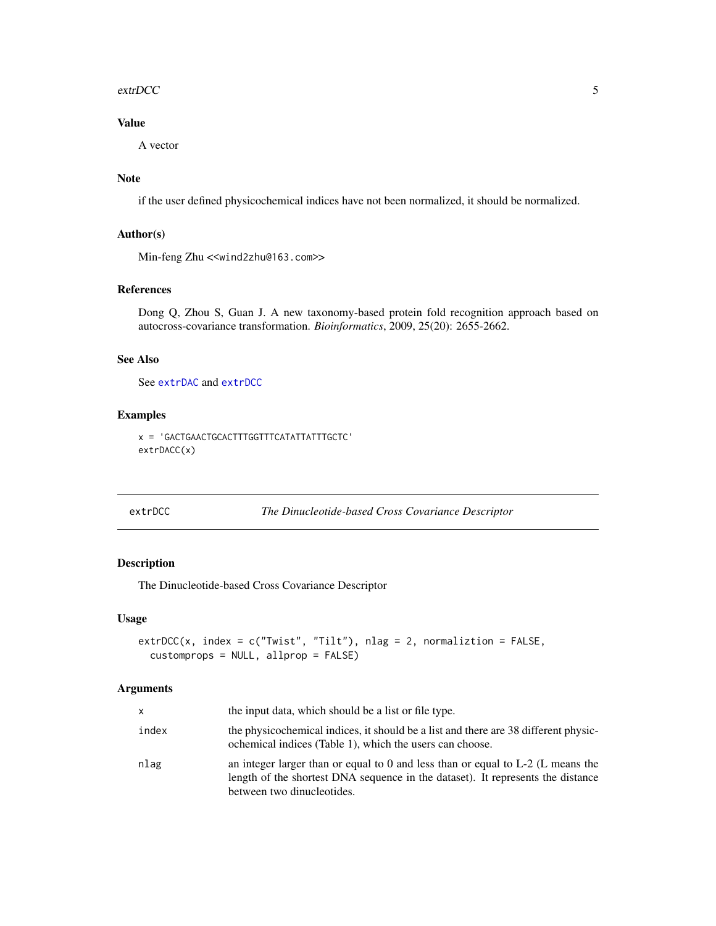#### <span id="page-4-0"></span>extrDCC 5

#### Value

A vector

#### Note

if the user defined physicochemical indices have not been normalized, it should be normalized.

#### Author(s)

Min-feng Zhu <<wind2zhu@163.com>>

#### References

Dong Q, Zhou S, Guan J. A new taxonomy-based protein fold recognition approach based on autocross-covariance transformation. *Bioinformatics*, 2009, 25(20): 2655-2662.

#### See Also

See [extrDAC](#page-2-1) and [extrDCC](#page-4-1)

#### Examples

x = 'GACTGAACTGCACTTTGGTTTCATATTATTTGCTC' extrDACC(x)

#### <span id="page-4-1"></span>extrDCC *The Dinucleotide-based Cross Covariance Descriptor*

#### Description

The Dinucleotide-based Cross Covariance Descriptor

#### Usage

```
extrDCC(x, index = c("Twist", "Tilt"), nlag = 2, normaliztion = FALSE,
  customprops = NULL, allprop = FALSE)
```
#### Arguments

| x     | the input data, which should be a list or file type.                                                                                                                                               |
|-------|----------------------------------------------------------------------------------------------------------------------------------------------------------------------------------------------------|
| index | the physicochemical indices, it should be a list and there are 38 different physic-<br>ochemical indices (Table 1), which the users can choose.                                                    |
| nlag  | an integer larger than or equal to 0 and less than or equal to $L-2$ (L means the<br>length of the shortest DNA sequence in the dataset). It represents the distance<br>between two dinucleotides. |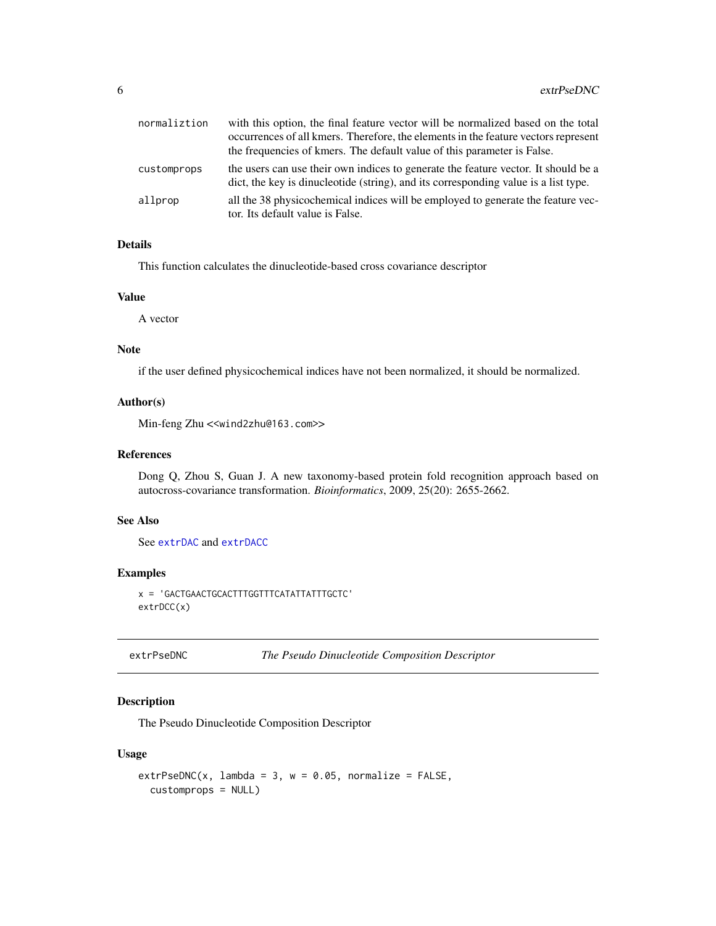<span id="page-5-0"></span>

| normaliztion | with this option, the final feature vector will be normalized based on the total<br>occurrences of all kmers. Therefore, the elements in the feature vectors represent<br>the frequencies of kmers. The default value of this parameter is False. |
|--------------|---------------------------------------------------------------------------------------------------------------------------------------------------------------------------------------------------------------------------------------------------|
| customprops  | the users can use their own indices to generate the feature vector. It should be a<br>dict, the key is dinucleotide (string), and its corresponding value is a list type.                                                                         |
| allprop      | all the 38 physicochemical indices will be employed to generate the feature vec-<br>tor. Its default value is False.                                                                                                                              |

#### Details

This function calculates the dinucleotide-based cross covariance descriptor

#### Value

A vector

#### Note

if the user defined physicochemical indices have not been normalized, it should be normalized.

#### Author(s)

Min-feng Zhu <<wind2zhu@163.com>>

#### References

Dong Q, Zhou S, Guan J. A new taxonomy-based protein fold recognition approach based on autocross-covariance transformation. *Bioinformatics*, 2009, 25(20): 2655-2662.

#### See Also

See [extrDAC](#page-2-1) and [extrDACC](#page-3-1)

#### Examples

x = 'GACTGAACTGCACTTTGGTTTCATATTATTTGCTC' extrDCC(x)

<span id="page-5-1"></span>extrPseDNC *The Pseudo Dinucleotide Composition Descriptor*

#### Description

The Pseudo Dinucleotide Composition Descriptor

#### Usage

```
extrPseDNC(x, lambda = 3, w = 0.05, normalize = FALSE,customprops = NULL)
```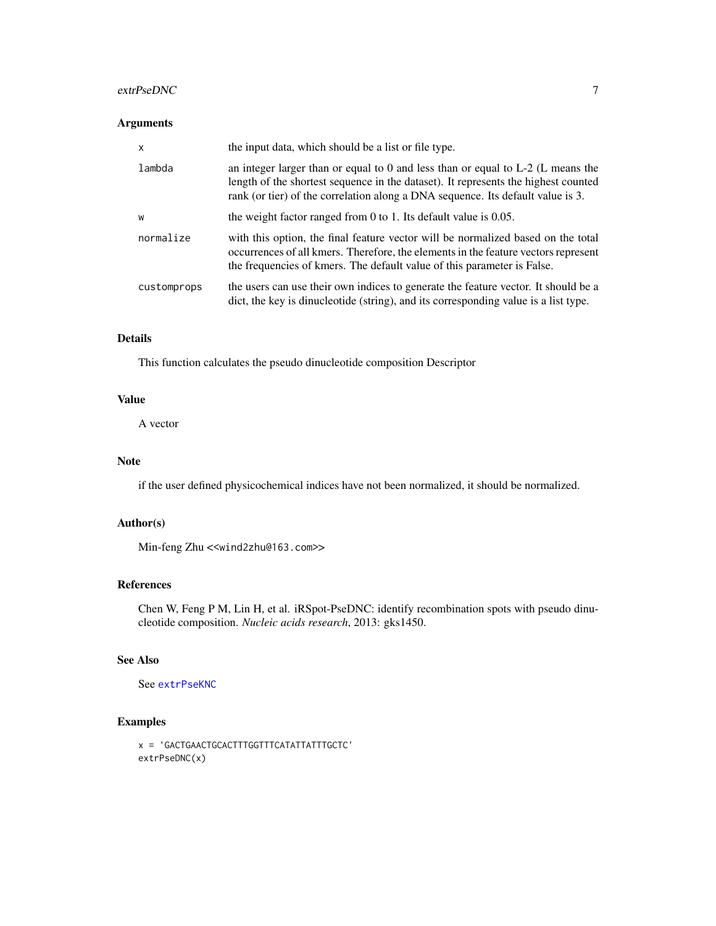#### <span id="page-6-0"></span>extrPseDNC 7

#### Arguments

| X           | the input data, which should be a list or file type.                                                                                                                                                                                                       |
|-------------|------------------------------------------------------------------------------------------------------------------------------------------------------------------------------------------------------------------------------------------------------------|
| lambda      | an integer larger than or equal to 0 and less than or equal to $L-2$ (L means the<br>length of the shortest sequence in the dataset). It represents the highest counted<br>rank (or tier) of the correlation along a DNA sequence. Its default value is 3. |
| W           | the weight factor ranged from 0 to 1. Its default value is $0.05$ .                                                                                                                                                                                        |
| normalize   | with this option, the final feature vector will be normalized based on the total<br>occurrences of all kmers. Therefore, the elements in the feature vectors represent<br>the frequencies of kmers. The default value of this parameter is False.          |
| customprops | the users can use their own indices to generate the feature vector. It should be a<br>dict, the key is dinucleotide (string), and its corresponding value is a list type.                                                                                  |

#### Details

This function calculates the pseudo dinucleotide composition Descriptor

#### Value

A vector

#### Note

if the user defined physicochemical indices have not been normalized, it should be normalized.

#### Author(s)

Min-feng Zhu <<wind2zhu@163.com>>

#### References

Chen W, Feng P M, Lin H, et al. iRSpot-PseDNC: identify recombination spots with pseudo dinucleotide composition. *Nucleic acids research*, 2013: gks1450.

#### See Also

See [extrPseKNC](#page-7-1)

#### Examples

```
x = 'GACTGAACTGCACTTTGGTTTCATATTATTTGCTC'
extrPseDNC(x)
```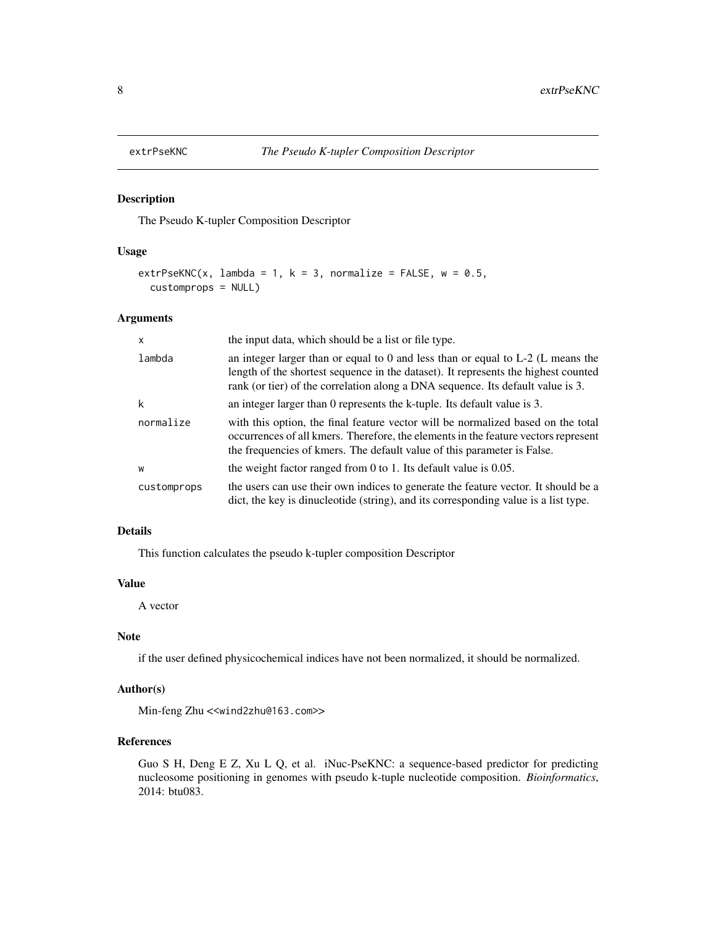<span id="page-7-1"></span><span id="page-7-0"></span>

The Pseudo K-tupler Composition Descriptor

#### Usage

```
extrPseKNC(x, lambda = 1, k = 3, normalize = FALSE, w = 0.5,
  customprops = NULL)
```
#### Arguments

| $\mathsf{x}$ | the input data, which should be a list or file type.                                                                                                                                                                                                         |
|--------------|--------------------------------------------------------------------------------------------------------------------------------------------------------------------------------------------------------------------------------------------------------------|
| lambda       | an integer larger than or equal to $0$ and less than or equal to $L-2$ (L means the<br>length of the shortest sequence in the dataset). It represents the highest counted<br>rank (or tier) of the correlation along a DNA sequence. Its default value is 3. |
| k            | an integer larger than 0 represents the k-tuple. Its default value is 3.                                                                                                                                                                                     |
| normalize    | with this option, the final feature vector will be normalized based on the total<br>occurrences of all kmers. Therefore, the elements in the feature vectors represent<br>the frequencies of kmers. The default value of this parameter is False.            |
| W            | the weight factor ranged from 0 to 1. Its default value is $0.05$ .                                                                                                                                                                                          |
| customprops  | the users can use their own indices to generate the feature vector. It should be a<br>dict, the key is dinucleotide (string), and its corresponding value is a list type.                                                                                    |

#### Details

This function calculates the pseudo k-tupler composition Descriptor

#### Value

A vector

#### Note

if the user defined physicochemical indices have not been normalized, it should be normalized.

#### Author(s)

Min-feng Zhu <<wind2zhu@163.com>>

#### References

Guo S H, Deng E Z, Xu L Q, et al. iNuc-PseKNC: a sequence-based predictor for predicting nucleosome positioning in genomes with pseudo k-tuple nucleotide composition. *Bioinformatics*, 2014: btu083.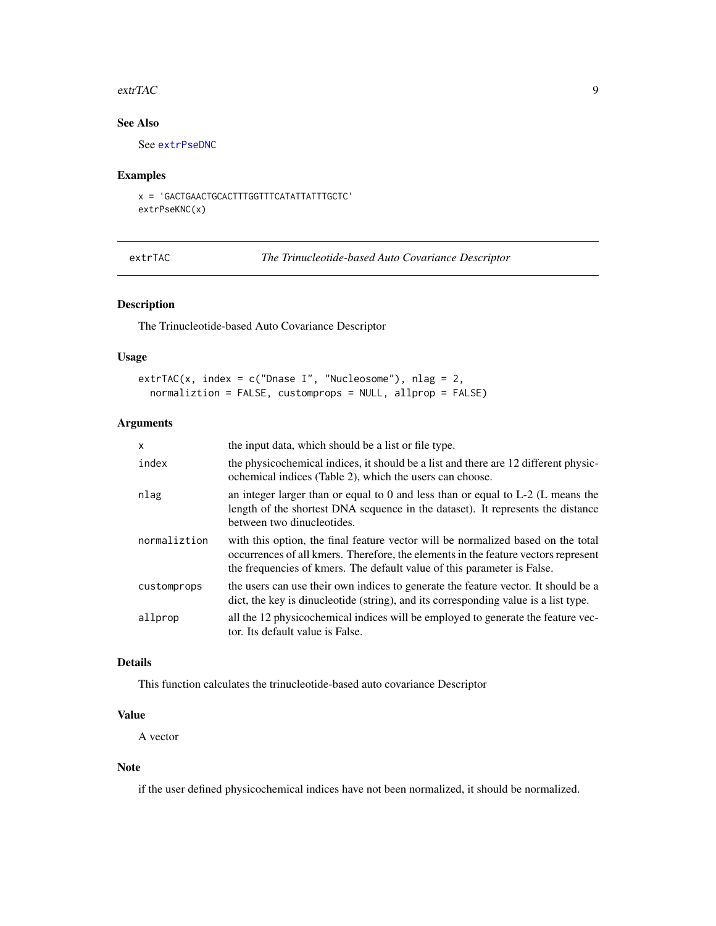#### <span id="page-8-0"></span>extrTAC 9

### See Also

See [extrPseDNC](#page-5-1)

#### Examples

```
x = 'GACTGAACTGCACTTTGGTTTCATATTATTTGCTC'
extrPseKNC(x)
```
<span id="page-8-1"></span>extrTAC *The Trinucleotide-based Auto Covariance Descriptor*

#### Description

The Trinucleotide-based Auto Covariance Descriptor

#### Usage

```
extrTAC(x, index = c("Dnase I", "Nucleosome"), nlag = 2,normaliztion = FALSE, customprops = NULL, allprop = FALSE)
```
#### Arguments

| $\mathsf{x}$ | the input data, which should be a list or file type.                                                                                                                                                                                              |
|--------------|---------------------------------------------------------------------------------------------------------------------------------------------------------------------------------------------------------------------------------------------------|
| index        | the physicochemical indices, it should be a list and there are 12 different physic-<br>ochemical indices (Table 2), which the users can choose.                                                                                                   |
| nlag         | an integer larger than or equal to 0 and less than or equal to $L-2$ (L means the<br>length of the shortest DNA sequence in the dataset). It represents the distance<br>between two dinucleotides.                                                |
| normaliztion | with this option, the final feature vector will be normalized based on the total<br>occurrences of all kmers. Therefore, the elements in the feature vectors represent<br>the frequencies of kmers. The default value of this parameter is False. |
| customprops  | the users can use their own indices to generate the feature vector. It should be a<br>dict, the key is dinucleotide (string), and its corresponding value is a list type.                                                                         |
| allprop      | all the 12 physicochemical indices will be employed to generate the feature vec-<br>tor. Its default value is False.                                                                                                                              |

#### Details

This function calculates the trinucleotide-based auto covariance Descriptor

#### Value

A vector

#### Note

if the user defined physicochemical indices have not been normalized, it should be normalized.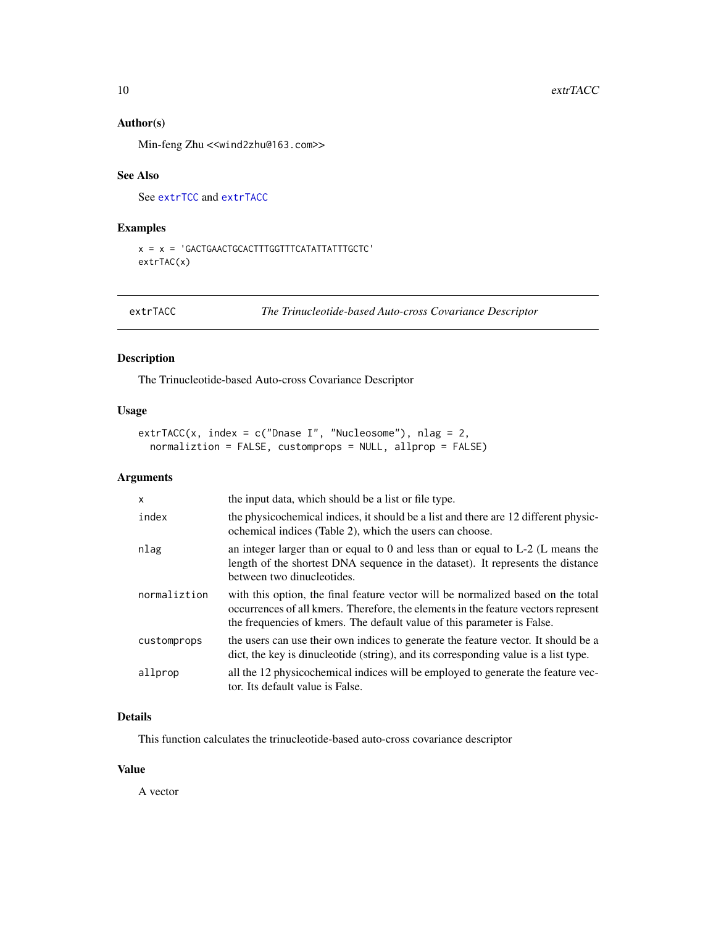#### <span id="page-9-0"></span>Author(s)

Min-feng Zhu <<wind2zhu@163.com>>

#### See Also

See [extrTCC](#page-10-1) and [extrTACC](#page-9-1)

#### Examples

```
x = x = 'GACTGAACTGCACTTTGGTTTCATATTATTTGCTC'
extrTAC(x)
```
<span id="page-9-1"></span>extrTACC *The Trinucleotide-based Auto-cross Covariance Descriptor*

#### Description

The Trinucleotide-based Auto-cross Covariance Descriptor

#### Usage

```
extrTACC(x, index = c("Dnase I", "Nucleosome"), nlag = 2,normaliztion = FALSE, customprops = NULL, allprop = FALSE)
```
#### Arguments

| x            | the input data, which should be a list or file type.                                                                                                                                                                                              |
|--------------|---------------------------------------------------------------------------------------------------------------------------------------------------------------------------------------------------------------------------------------------------|
| index        | the physicochemical indices, it should be a list and there are 12 different physic-<br>ochemical indices (Table 2), which the users can choose.                                                                                                   |
| nlag         | an integer larger than or equal to $0$ and less than or equal to $L-2$ (L means the<br>length of the shortest DNA sequence in the dataset). It represents the distance<br>between two dinucleotides.                                              |
| normaliztion | with this option, the final feature vector will be normalized based on the total<br>occurrences of all kmers. Therefore, the elements in the feature vectors represent<br>the frequencies of kmers. The default value of this parameter is False. |
| customprops  | the users can use their own indices to generate the feature vector. It should be a<br>dict, the key is dinucleotide (string), and its corresponding value is a list type.                                                                         |
| allprop      | all the 12 physicochemical indices will be employed to generate the feature vec-<br>tor. Its default value is False.                                                                                                                              |

#### Details

This function calculates the trinucleotide-based auto-cross covariance descriptor

#### Value

A vector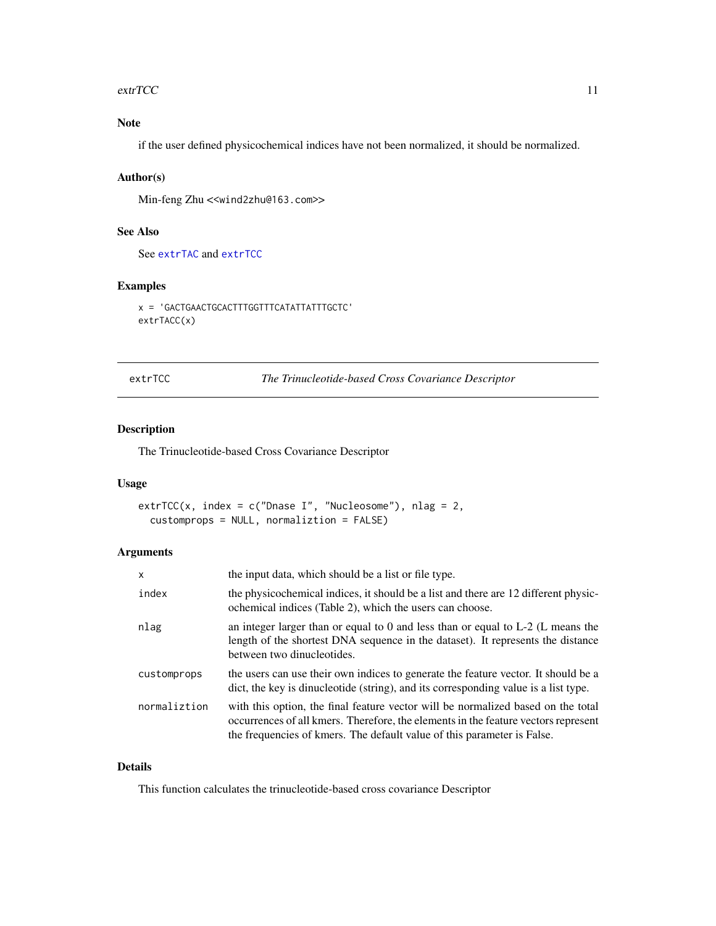#### <span id="page-10-0"></span> $\text{extrTCC}$  11

### Note

if the user defined physicochemical indices have not been normalized, it should be normalized.

#### Author(s)

Min-feng Zhu <<wind2zhu@163.com>>

#### See Also

See [extrTAC](#page-8-1) and [extrTCC](#page-10-1)

#### Examples

```
x = 'GACTGAACTGCACTTTGGTTTCATATTATTTGCTC'
extrTACC(x)
```
<span id="page-10-1"></span>extrTCC *The Trinucleotide-based Cross Covariance Descriptor*

#### Description

The Trinucleotide-based Cross Covariance Descriptor

#### Usage

```
extrTCC(x, index = c("Dnase I", "Nucleosome"), nlag = 2,
  customprops = NULL, normaliztion = FALSE)
```
#### Arguments

| X            | the input data, which should be a list or file type.                                                                                                                                                                                              |
|--------------|---------------------------------------------------------------------------------------------------------------------------------------------------------------------------------------------------------------------------------------------------|
| index        | the physicochemical indices, it should be a list and there are 12 different physic-<br>ochemical indices (Table 2), which the users can choose.                                                                                                   |
| nlag         | an integer larger than or equal to 0 and less than or equal to $L-2$ (L means the<br>length of the shortest DNA sequence in the dataset). It represents the distance<br>between two dinucleotides.                                                |
| customprops  | the users can use their own indices to generate the feature vector. It should be a<br>dict, the key is dinucleotide (string), and its corresponding value is a list type.                                                                         |
| normaliztion | with this option, the final feature vector will be normalized based on the total<br>occurrences of all kmers. Therefore, the elements in the feature vectors represent<br>the frequencies of kmers. The default value of this parameter is False. |

#### Details

This function calculates the trinucleotide-based cross covariance Descriptor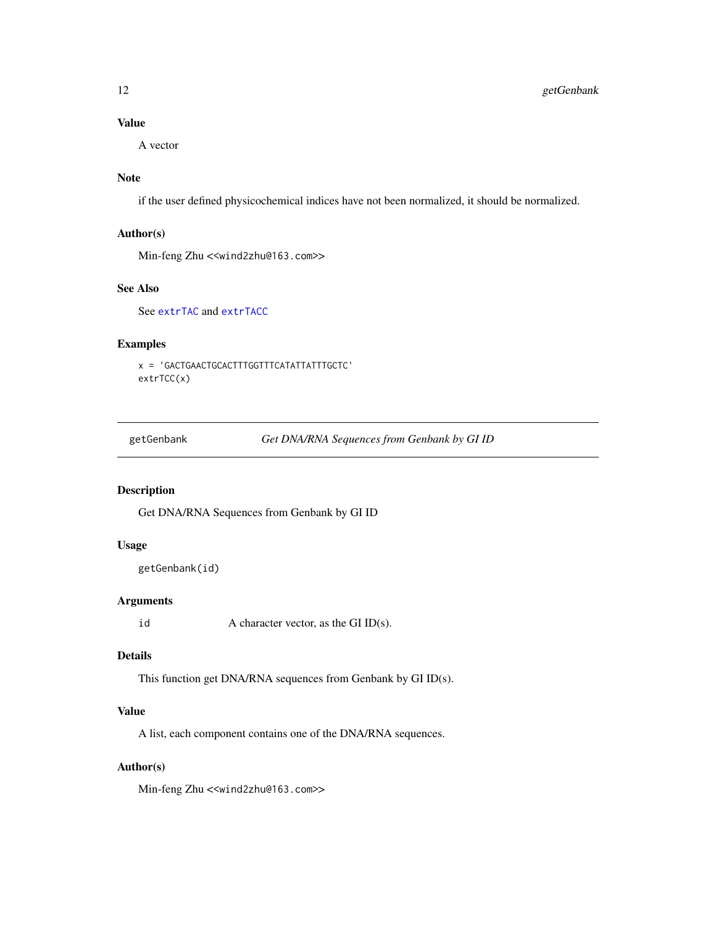#### Value

A vector

#### Note

if the user defined physicochemical indices have not been normalized, it should be normalized.

#### Author(s)

Min-feng Zhu <<wind2zhu@163.com>>

### See Also

See [extrTAC](#page-8-1) and [extrTACC](#page-9-1)

#### Examples

```
x = 'GACTGAACTGCACTTTGGTTTCATATTATTTGCTC'
extrTCC(x)
```
getGenbank *Get DNA/RNA Sequences from Genbank by GI ID*

#### Description

Get DNA/RNA Sequences from Genbank by GI ID

#### Usage

```
getGenbank(id)
```
#### Arguments

id  $A$  character vector, as the GI ID(s).

#### Details

This function get DNA/RNA sequences from Genbank by GI ID(s).

#### Value

A list, each component contains one of the DNA/RNA sequences.

#### Author(s)

Min-feng Zhu <<wind2zhu@163.com>>

<span id="page-11-0"></span>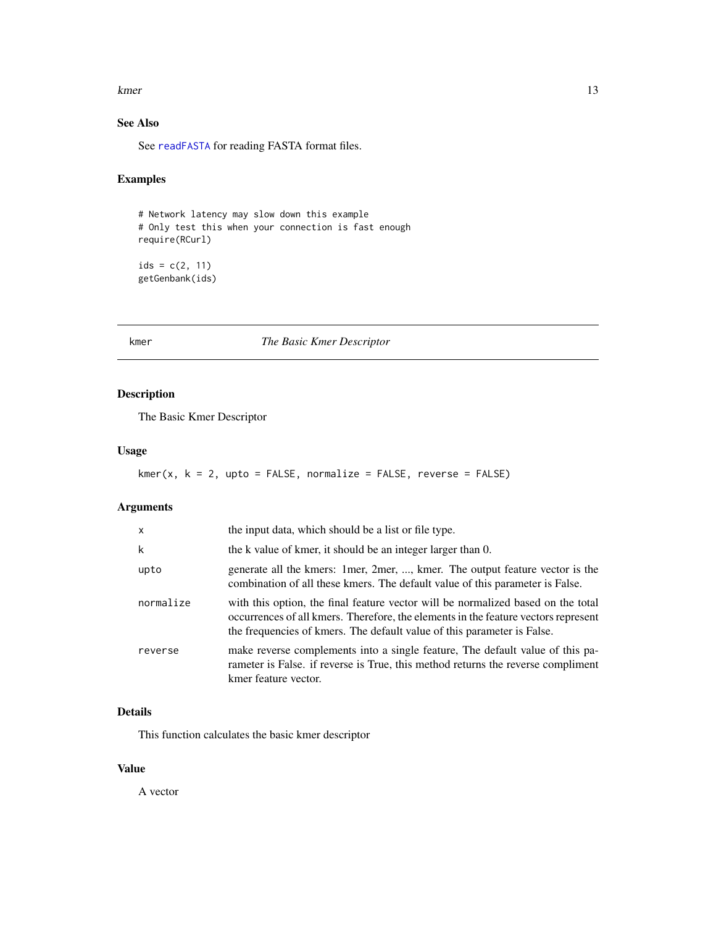<span id="page-12-0"></span>kmer and the state of the state of the state of the state of the state of the state of the state of the state of the state of the state of the state of the state of the state of the state of the state of the state of the s

### See Also

See [readFASTA](#page-18-1) for reading FASTA format files.

#### Examples

# Network latency may slow down this example # Only test this when your connection is fast enough require(RCurl)

 $ids = c(2, 11)$ getGenbank(ids)

<span id="page-12-1"></span>kmer *The Basic Kmer Descriptor*

#### Description

The Basic Kmer Descriptor

#### Usage

```
kmer(x, k = 2, upto = FALSE, normalize = FALSE, reverse = FALSE)
```
#### Arguments

| X         | the input data, which should be a list or file type.                                                                                                                                                                                              |
|-----------|---------------------------------------------------------------------------------------------------------------------------------------------------------------------------------------------------------------------------------------------------|
| k         | the k value of kmer, it should be an integer larger than 0.                                                                                                                                                                                       |
| upto      | generate all the kmers: 1 mer, 2 mer, , kmer. The output feature vector is the<br>combination of all these kmers. The default value of this parameter is False.                                                                                   |
| normalize | with this option, the final feature vector will be normalized based on the total<br>occurrences of all kmers. Therefore, the elements in the feature vectors represent<br>the frequencies of kmers. The default value of this parameter is False. |
| reverse   | make reverse complements into a single feature. The default value of this pa-<br>rameter is False. if reverse is True, this method returns the reverse compliment<br>kmer feature vector.                                                         |

#### Details

This function calculates the basic kmer descriptor

#### Value

A vector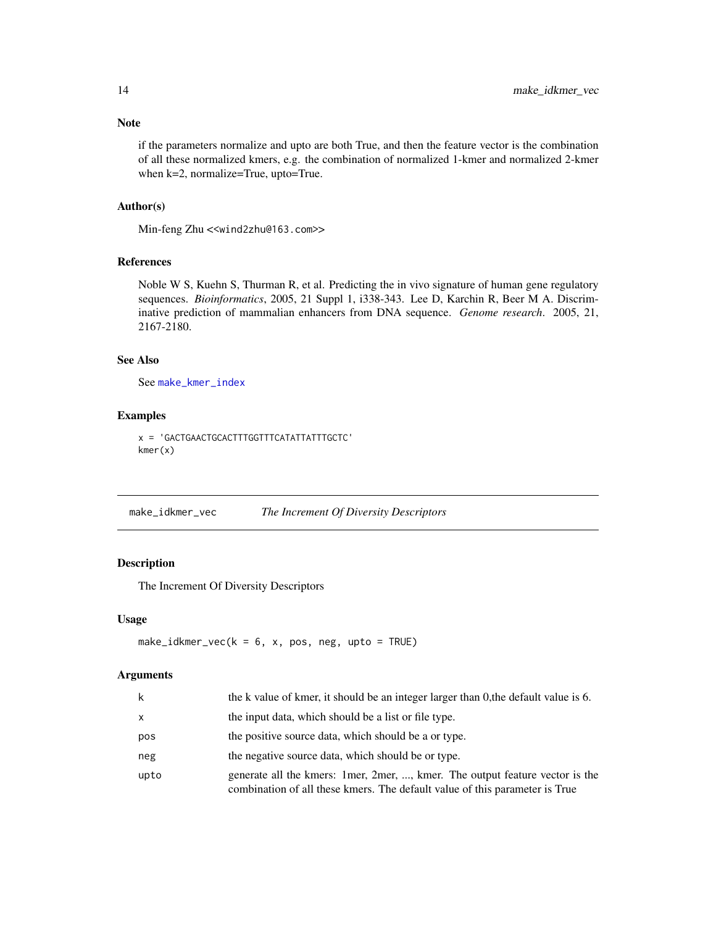if the parameters normalize and upto are both True, and then the feature vector is the combination of all these normalized kmers, e.g. the combination of normalized 1-kmer and normalized 2-kmer when k=2, normalize=True, upto=True.

#### Author(s)

Min-feng Zhu <<wind2zhu@163.com>>

#### References

Noble W S, Kuehn S, Thurman R, et al. Predicting the in vivo signature of human gene regulatory sequences. *Bioinformatics*, 2005, 21 Suppl 1, i338-343. Lee D, Karchin R, Beer M A. Discriminative prediction of mammalian enhancers from DNA sequence. *Genome research*. 2005, 21, 2167-2180.

#### See Also

See [make\\_kmer\\_index](#page-14-1)

#### Examples

x = 'GACTGAACTGCACTTTGGTTTCATATTATTTGCTC' kmer(x)

make\_idkmer\_vec *The Increment Of Diversity Descriptors*

#### Description

The Increment Of Diversity Descriptors

#### Usage

```
make_idkmer_vec(k = 6, x, pos, neg, upto = TRUE)
```
#### Arguments

| k    | the k value of kmer, it should be an integer larger than 0, the default value is 6.                                                                           |
|------|---------------------------------------------------------------------------------------------------------------------------------------------------------------|
| X    | the input data, which should be a list or file type.                                                                                                          |
| pos  | the positive source data, which should be a or type.                                                                                                          |
| neg  | the negative source data, which should be or type.                                                                                                            |
| upto | generate all the kmers: 1 mer, 2 mer, , kmer. The output feature vector is the<br>combination of all these kmers. The default value of this parameter is True |

<span id="page-13-0"></span>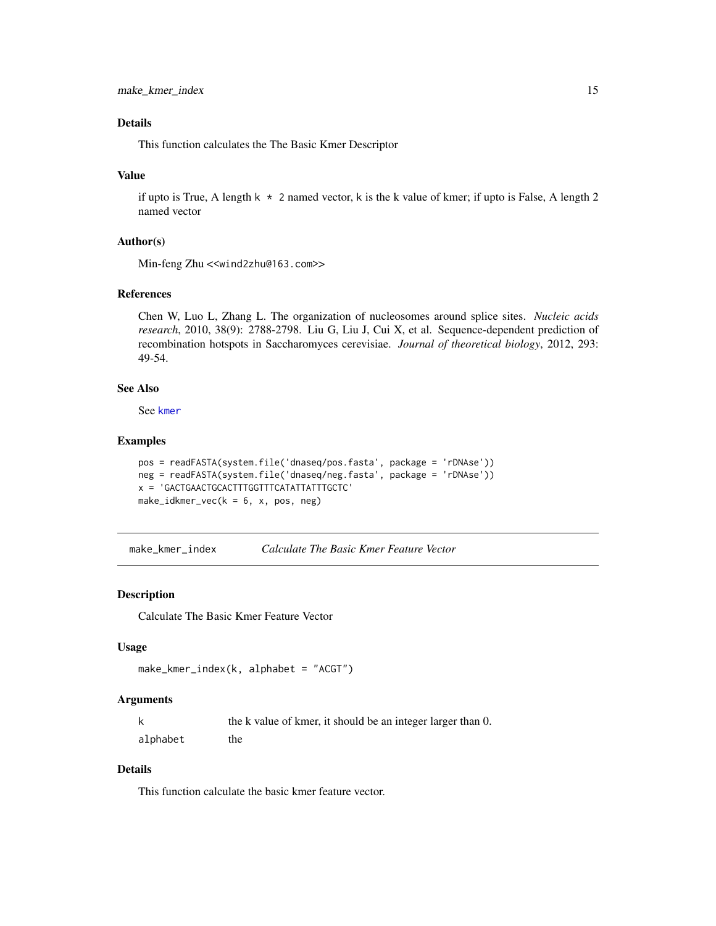#### <span id="page-14-0"></span>Details

This function calculates the The Basic Kmer Descriptor

#### Value

if upto is True, A length  $k \times 2$  named vector, k is the k value of kmer; if upto is False, A length 2 named vector

#### Author(s)

Min-feng Zhu <<wind2zhu@163.com>>

#### References

Chen W, Luo L, Zhang L. The organization of nucleosomes around splice sites. *Nucleic acids research*, 2010, 38(9): 2788-2798. Liu G, Liu J, Cui X, et al. Sequence-dependent prediction of recombination hotspots in Saccharomyces cerevisiae. *Journal of theoretical biology*, 2012, 293: 49-54.

#### See Also

See [kmer](#page-12-1)

#### Examples

```
pos = readFASTA(system.file('dnaseq/pos.fasta', package = 'rDNAse'))
neg = readFASTA(system.file('dnaseq/neg.fasta', package = 'rDNAse'))
x = 'GACTGAACTGCACTTTGGTTTCATATTATTTGCTC'
make_idkmer_vec(k = 6, x, pos, neg)
```
<span id="page-14-1"></span>make\_kmer\_index *Calculate The Basic Kmer Feature Vector*

#### Description

Calculate The Basic Kmer Feature Vector

#### Usage

```
make_kmer_index(k, alphabet = "ACGT")
```
#### Arguments

|          | the k value of kmer, it should be an integer larger than 0. |
|----------|-------------------------------------------------------------|
| alphabet | the                                                         |

#### Details

This function calculate the basic kmer feature vector.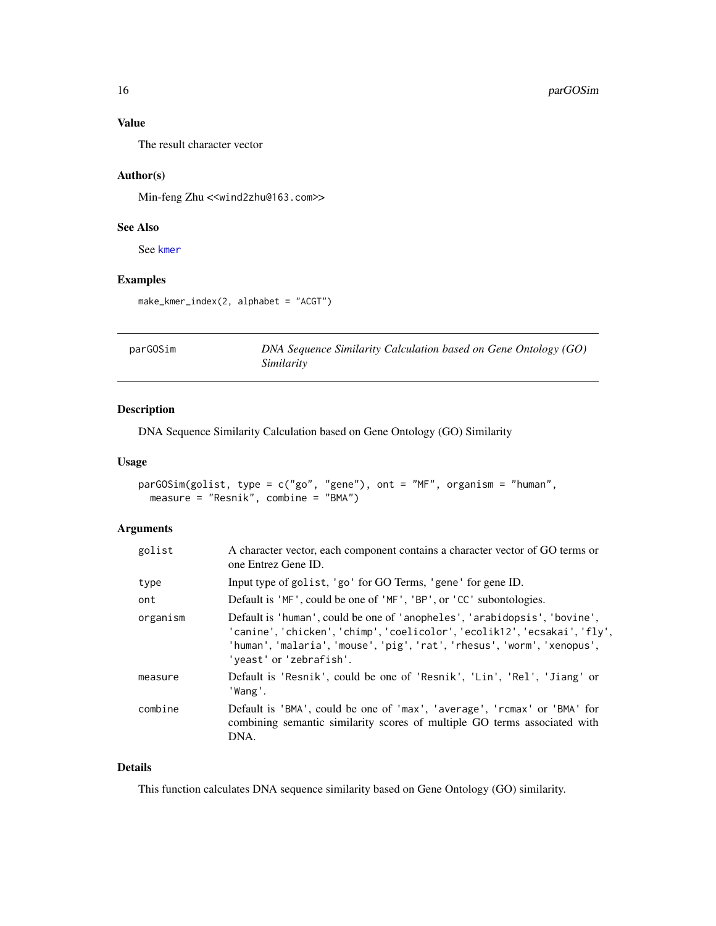#### Value

The result character vector

#### Author(s)

Min-feng Zhu <<wind2zhu@163.com>>

#### See Also

See [kmer](#page-12-1)

#### Examples

make\_kmer\_index(2, alphabet = "ACGT")

<span id="page-15-1"></span>parGOSim *DNA Sequence Similarity Calculation based on Gene Ontology (GO) Similarity*

#### Description

DNA Sequence Similarity Calculation based on Gene Ontology (GO) Similarity

#### Usage

```
parGOSim(golist, type = c("go", "gene"), ont = "MF", organism = "human",
 measure = "Resnik", combine = "BMA")
```
#### Arguments

| golist   | A character vector, each component contains a character vector of GO terms or<br>one Entrez Gene ID.                                                                                                                                                         |
|----------|--------------------------------------------------------------------------------------------------------------------------------------------------------------------------------------------------------------------------------------------------------------|
| type     | Input type of golist, 'go' for GO Terms, 'gene' for gene ID.                                                                                                                                                                                                 |
| ont      | Default is 'MF', could be one of 'MF', 'BP', or 'CC' subontologies.                                                                                                                                                                                          |
| organism | Default is 'human', could be one of 'anopheles', 'arabidopsis', 'bovine',<br>'canine', 'chicken', 'chimp', 'coelicolor', 'ecolik12', 'ecsakai', 'fly',<br>'human', 'malaria', 'mouse', 'pig', 'rat', 'rhesus', 'worm', 'xenopus',<br>'yeast' or 'zebrafish'. |
| measure  | Default is 'Resnik', could be one of 'Resnik', 'Lin', 'Rel', 'Jiang' or<br>'Wang'.                                                                                                                                                                           |
| combine  | Default is 'BMA', could be one of 'max', 'average', 'rcmax' or 'BMA' for<br>combining semantic similarity scores of multiple GO terms associated with<br>DNA.                                                                                                |

#### Details

This function calculates DNA sequence similarity based on Gene Ontology (GO) similarity.

<span id="page-15-0"></span>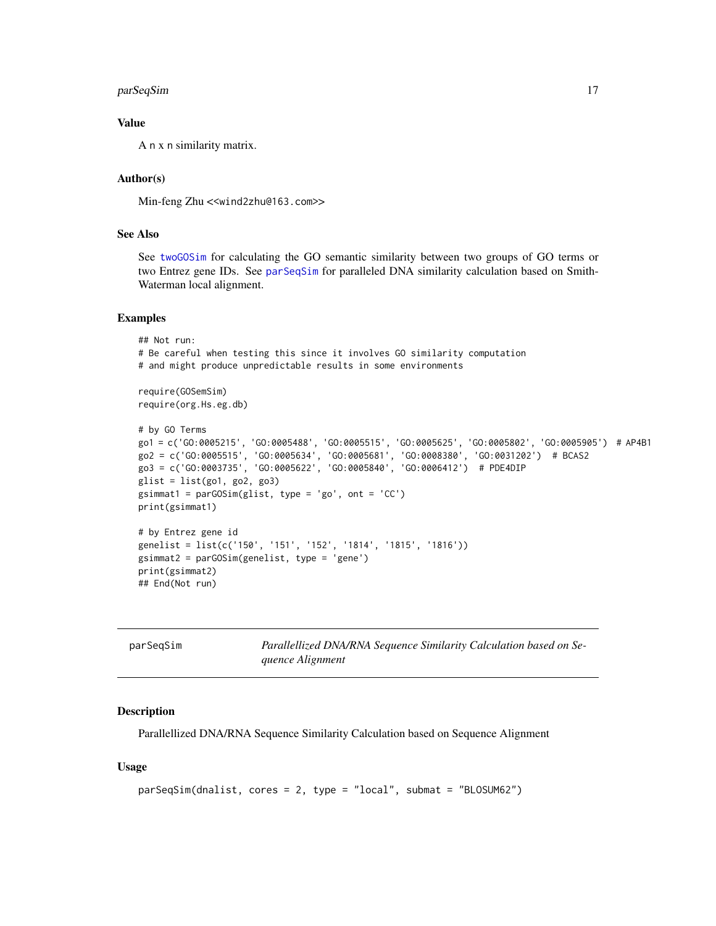#### <span id="page-16-0"></span>parSeqSim 17

#### Value

A n x n similarity matrix.

#### Author(s)

Min-feng Zhu <<wind2zhu@163.com>>

#### See Also

See [twoGOSim](#page-20-1) for calculating the GO semantic similarity between two groups of GO terms or two Entrez gene IDs. See [parSeqSim](#page-16-1) for paralleled DNA similarity calculation based on Smith-Waterman local alignment.

#### Examples

```
## Not run:
# Be careful when testing this since it involves GO similarity computation
# and might produce unpredictable results in some environments
require(GOSemSim)
require(org.Hs.eg.db)
# by GO Terms
go1 = c('GO:0005215', 'GO:0005488', 'GO:0005515', 'GO:0005625', 'GO:0005802', 'GO:0005905') # AP4B1
go2 = c('GO:0005515', 'GO:0005634', 'GO:0005681', 'GO:0008380', 'GO:0031202') # BCAS2
go3 = c('GO:0003735', 'GO:0005622', 'GO:0005840', 'GO:0006412') # PDE4DIP
glist = list(go1, go2, go3)gsimmat1 = parGOSim(glist, type = 'go', ont = 'CC')
print(gsimmat1)
# by Entrez gene id
genelist = list(c('150', '151', '152', '1814', '1815', '1816'))
gsimmat2 = parGOSim(genelist, type = 'gene')
print(gsimmat2)
## End(Not run)
```
<span id="page-16-1"></span>

| parSeqSim | Parallellized DNA/RNA Sequence Similarity Calculation based on Se- |
|-----------|--------------------------------------------------------------------|
|           | quence Alignment                                                   |

#### Description

Parallellized DNA/RNA Sequence Similarity Calculation based on Sequence Alignment

#### Usage

```
parSeqSim(dnalist, cores = 2, type = "local", submat = "BLOSUM62")
```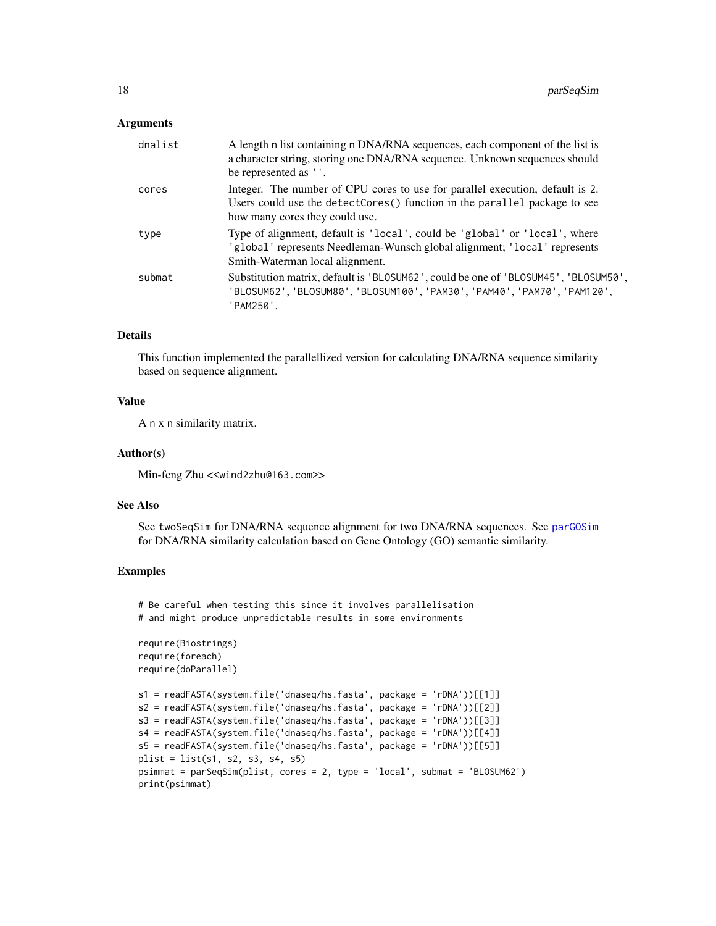#### <span id="page-17-0"></span>Arguments

| dnalist | A length n list containing n DNA/RNA sequences, each component of the list is<br>a character string, storing one DNA/RNA sequence. Unknown sequences should<br>be represented as ''.         |
|---------|----------------------------------------------------------------------------------------------------------------------------------------------------------------------------------------------|
| cores   | Integer. The number of CPU cores to use for parallel execution, default is 2.<br>Users could use the detectCores() function in the parallel package to see<br>how many cores they could use. |
| type    | Type of alignment, default is 'local', could be 'global' or 'local', where<br>'global' represents Needleman-Wunsch global alignment; 'local' represents<br>Smith-Waterman local alignment.   |
| submat  | Substitution matrix, default is 'BLOSUM62', could be one of 'BLOSUM45', 'BLOSUM50',<br>'BLOSUM62', 'BLOSUM80', 'BLOSUM100', 'PAM30', 'PAM40', 'PAM70', 'PAM120',<br>'PAM250'.                |

#### Details

This function implemented the parallellized version for calculating DNA/RNA sequence similarity based on sequence alignment.

#### Value

A n x n similarity matrix.

#### Author(s)

Min-feng Zhu <<wind2zhu@163.com>>

#### See Also

See twoSeqSim for DNA/RNA sequence alignment for two DNA/RNA sequences. See [parGOSim](#page-15-1) for DNA/RNA similarity calculation based on Gene Ontology (GO) semantic similarity.

#### Examples

# Be careful when testing this since it involves parallelisation # and might produce unpredictable results in some environments

```
require(Biostrings)
require(foreach)
require(doParallel)
```

```
s1 = readFASTA(system.file('dnaseq/hs.fasta', package = 'rDNA'))[[1]]
s2 = readFASTA(system.file('dnaseq/hs.fasta', package = 'rDNA'))[[2]]
s3 = readFASTA(system.file('dnaseq/hs.fasta', package = 'rDNA'))[[3]]
s4 = readFASTA(system.file('dnaseq/hs.fasta', package = 'rDNA'))[[4]]
s5 = readFASTA(system.file('dnaseq/hs.fasta', package = 'rDNA'))[[5]]
plist = list(s1, s2, s3, s4, s5)psimmat = parSeqSim(plist, cores = 2, type = 'local', submat = 'BLOSUM62')
print(psimmat)
```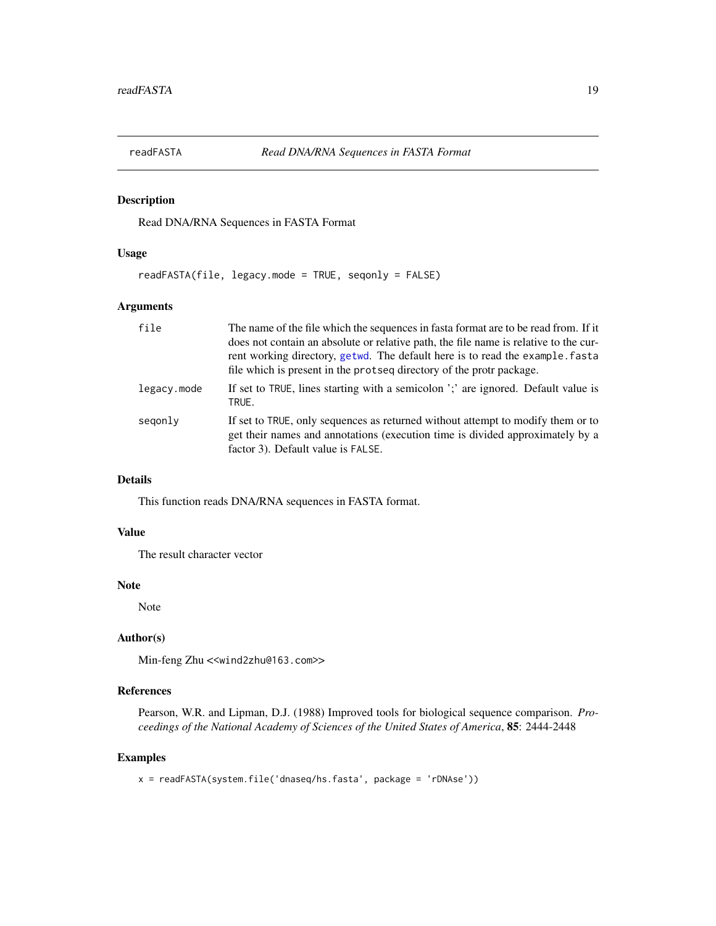<span id="page-18-1"></span><span id="page-18-0"></span>

Read DNA/RNA Sequences in FASTA Format

#### Usage

readFASTA(file, legacy.mode = TRUE, seqonly = FALSE)

#### Arguments

| file        | The name of the file which the sequences in fasta format are to be read from. If it<br>does not contain an absolute or relative path, the file name is relative to the cur-<br>rent working directory, getwd. The default here is to read the example. fasta<br>file which is present in the protseq directory of the protr package. |
|-------------|--------------------------------------------------------------------------------------------------------------------------------------------------------------------------------------------------------------------------------------------------------------------------------------------------------------------------------------|
| legacy.mode | If set to TRUE, lines starting with a semicolon ';' are ignored. Default value is<br>TRUE.                                                                                                                                                                                                                                           |
| segonly     | If set to TRUE, only sequences as returned without attempt to modify them or to<br>get their names and annotations (execution time is divided approximately by a<br>factor 3). Default value is FALSE.                                                                                                                               |

#### Details

This function reads DNA/RNA sequences in FASTA format.

#### Value

The result character vector

#### Note

Note

#### Author(s)

Min-feng Zhu <<wind2zhu@163.com>>

#### References

Pearson, W.R. and Lipman, D.J. (1988) Improved tools for biological sequence comparison. *Proceedings of the National Academy of Sciences of the United States of America*, 85: 2444-2448

#### Examples

x = readFASTA(system.file('dnaseq/hs.fasta', package = 'rDNAse'))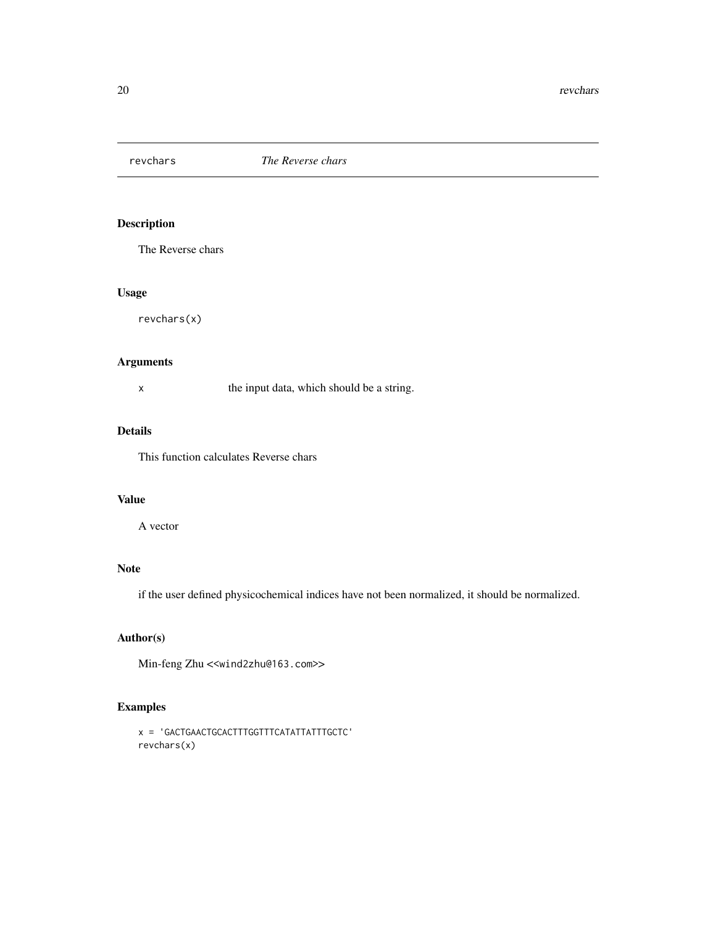<span id="page-19-0"></span>

The Reverse chars

#### Usage

revchars(x)

#### Arguments

x the input data, which should be a string.

### Details

This function calculates Reverse chars

#### Value

A vector

#### Note

if the user defined physicochemical indices have not been normalized, it should be normalized.

#### Author(s)

Min-feng Zhu <<wind2zhu@163.com>>

#### Examples

```
x = 'GACTGAACTGCACTTTGGTTTCATATTATTTGCTC'
revchars(x)
```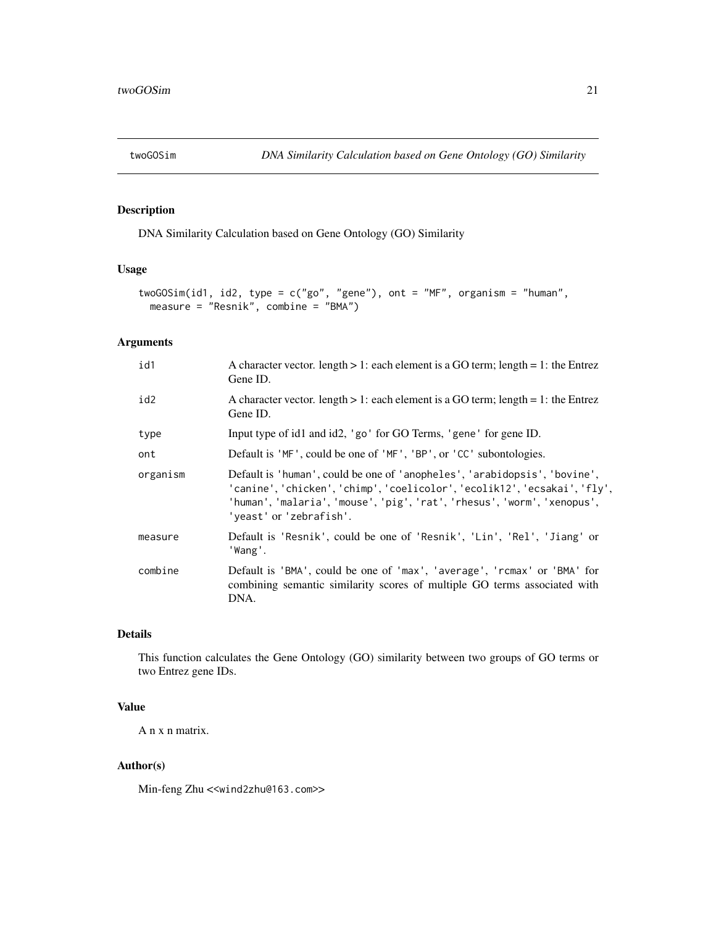<span id="page-20-1"></span><span id="page-20-0"></span>

DNA Similarity Calculation based on Gene Ontology (GO) Similarity

#### Usage

```
twoGOSim(id1, id2, type = c("go", "gene"), ont = "MF", organism = "human",
 measure = "Resnik", combine = "BMA")
```
#### Arguments

| id1      | A character vector. length $> 1$ : each element is a GO term; length = 1: the Entrez<br>Gene ID.                                                                                                                                                             |
|----------|--------------------------------------------------------------------------------------------------------------------------------------------------------------------------------------------------------------------------------------------------------------|
| id2      | A character vector. length $> 1$ : each element is a GO term; length = 1: the Entrez<br>Gene ID.                                                                                                                                                             |
| type     | Input type of id1 and id2, 'go' for GO Terms, 'gene' for gene ID.                                                                                                                                                                                            |
| ont      | Default is 'MF', could be one of 'MF', 'BP', or 'CC' subontologies.                                                                                                                                                                                          |
| organism | Default is 'human', could be one of 'anopheles', 'arabidopsis', 'bovine',<br>'canine', 'chicken', 'chimp', 'coelicolor', 'ecolik12', 'ecsakai', 'fly',<br>'human', 'malaria', 'mouse', 'pig', 'rat', 'rhesus', 'worm', 'xenopus',<br>'yeast' or 'zebrafish'. |
| measure  | Default is 'Resnik', could be one of 'Resnik', 'Lin', 'Rel', 'Jiang' or<br>'Wang'.                                                                                                                                                                           |
| combine  | Default is 'BMA', could be one of 'max', 'average', 'rcmax' or 'BMA' for<br>combining semantic similarity scores of multiple GO terms associated with<br>DNA.                                                                                                |

#### Details

This function calculates the Gene Ontology (GO) similarity between two groups of GO terms or two Entrez gene IDs.

#### Value

A n x n matrix.

#### Author(s)

Min-feng Zhu <<wind2zhu@163.com>>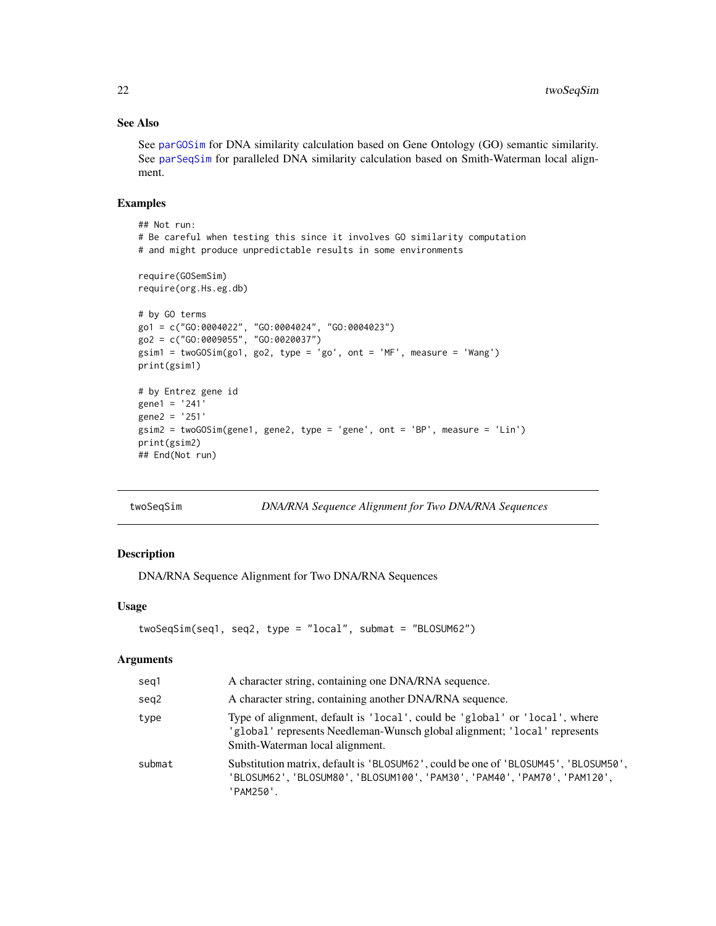#### See Also

See [parGOSim](#page-15-1) for DNA similarity calculation based on Gene Ontology (GO) semantic similarity. See [parSeqSim](#page-16-1) for paralleled DNA similarity calculation based on Smith-Waterman local alignment.

#### Examples

```
## Not run:
# Be careful when testing this since it involves GO similarity computation
# and might produce unpredictable results in some environments
require(GOSemSim)
require(org.Hs.eg.db)
# by GO terms
go1 = c("GO:0004022", "GO:0004024", "GO:0004023")
go2 = c("GO:0009055", "GO:0020037")
gsim1 = twoGOSim(go1, go2, type = 'go', ont = 'MF', measure = 'Wang')
print(gsim1)
# by Entrez gene id
gene1 = '241'
gene2 = '251'
gsim2 = twoGOSim(gene1, gene2, type = 'gene', ont = 'BP', measure = 'Lin')
print(gsim2)
## End(Not run)
```
twoSeqSim *DNA/RNA Sequence Alignment for Two DNA/RNA Sequences*

#### Description

DNA/RNA Sequence Alignment for Two DNA/RNA Sequences

#### Usage

```
twoSeqSim(seq1, seq2, type = "local", submat = "BLOSUM62")
```
#### Arguments

| seg1   | A character string, containing one DNA/RNA sequence.                                                                                                                                       |
|--------|--------------------------------------------------------------------------------------------------------------------------------------------------------------------------------------------|
| seg2   | A character string, containing another DNA/RNA sequence.                                                                                                                                   |
| type   | Type of alignment, default is 'local', could be 'global' or 'local', where<br>'global' represents Needleman-Wunsch global alignment; 'local' represents<br>Smith-Waterman local alignment. |
| submat | Substitution matrix, default is 'BLOSUM62', could be one of 'BLOSUM45', 'BLOSUM50',<br>'BLOSUM62', 'BLOSUM80', 'BLOSUM100', 'PAM30', 'PAM40', 'PAM70', 'PAM120',<br>'PAM250'.              |

<span id="page-21-0"></span>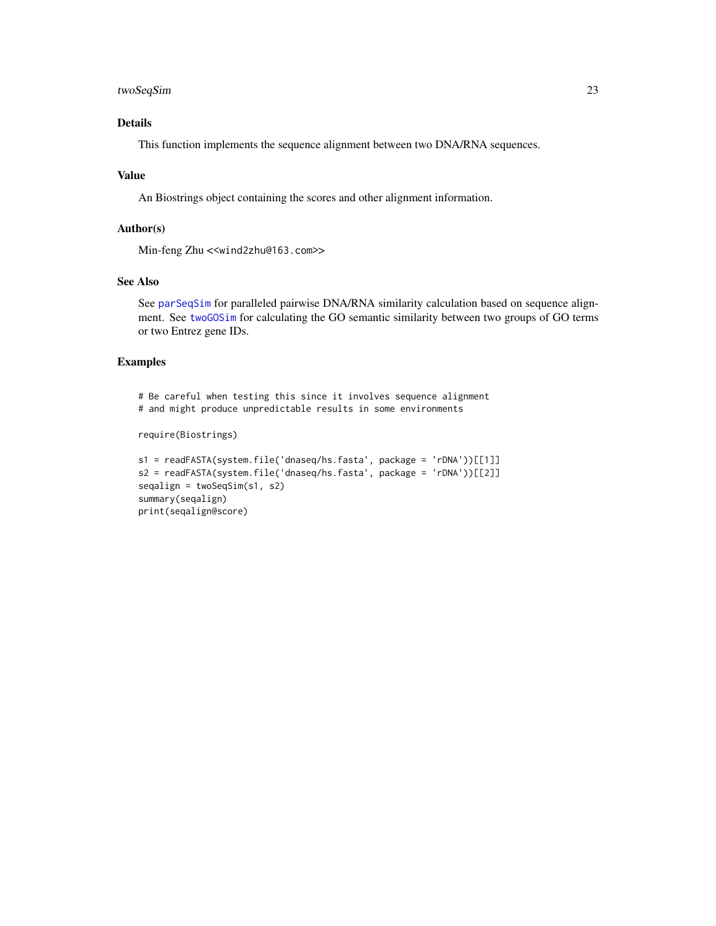#### <span id="page-22-0"></span>twoSeqSim 23

#### Details

This function implements the sequence alignment between two DNA/RNA sequences.

#### Value

An Biostrings object containing the scores and other alignment information.

#### Author(s)

Min-feng Zhu <<wind2zhu@163.com>>

#### See Also

See [parSeqSim](#page-16-1) for paralleled pairwise DNA/RNA similarity calculation based on sequence alignment. See [twoGOSim](#page-20-1) for calculating the GO semantic similarity between two groups of GO terms or two Entrez gene IDs.

#### Examples

# Be careful when testing this since it involves sequence alignment # and might produce unpredictable results in some environments require(Biostrings)

```
s1 = readFASTA(system.file('dnaseq/hs.fasta', package = 'rDNA'))[[1]]
s2 = readFASTA(system.file('dnaseq/hs.fasta', package = 'rDNA'))[[2]]
seqalign = twoSeqSim(s1, s2)
summary(seqalign)
print(seqalign@score)
```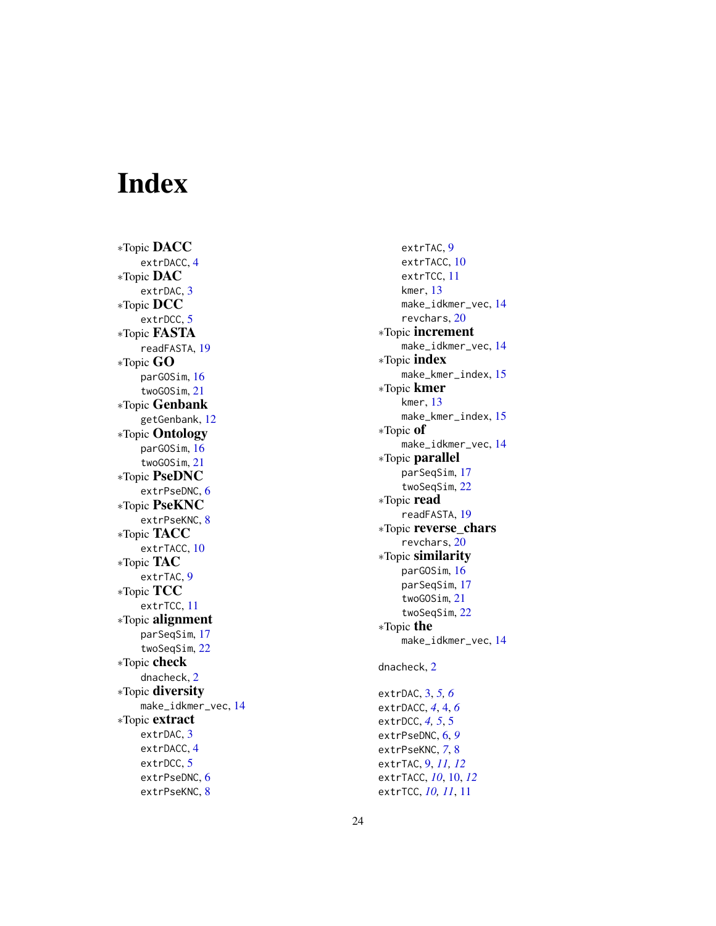# <span id="page-23-0"></span>Index

∗Topic DACC extrDACC , [4](#page-3-0) ∗Topic DAC extrDAC, [3](#page-2-0) ∗Topic DCC extrDCC , [5](#page-4-0) ∗Topic FASTA readFASTA , [19](#page-18-0) ∗Topic GO parGOSim , [16](#page-15-0) twoGOSim , [21](#page-20-0) ∗Topic Genbank getGenbank , [12](#page-11-0) ∗Topic Ontology parGOSim , [16](#page-15-0) twoGOSim , [21](#page-20-0) ∗Topic PseDNC extrPseDNC, [6](#page-5-0) ∗Topic PseKNC extrPseKNC, [8](#page-7-0) ∗Topic TACC extrTACC, [10](#page-9-0) ∗Topic TAC extrTAC, [9](#page-8-0) ∗Topic TCC extrTCC , [11](#page-10-0) ∗Topic alignment parSeqSim , [17](#page-16-0) twoSeqSim , [22](#page-21-0) ∗Topic check dnacheck , [2](#page-1-0) ∗Topic diversity make\_idkmer\_vec , [14](#page-13-0) ∗Topic extract extrDAC, [3](#page-2-0) extrDACC , [4](#page-3-0) extrDCC , [5](#page-4-0) extrPseDNC, [6](#page-5-0) extrPseKNC, [8](#page-7-0)

extrTAC, [9](#page-8-0) extrTACC , [10](#page-9-0) extrTCC , [11](#page-10-0) kmer , [13](#page-12-0) make\_idkmer\_vec , [14](#page-13-0) revchars , [20](#page-19-0) ∗Topic increment make\_idkmer\_vec , [14](#page-13-0) ∗Topic index make\_kmer\_index , [15](#page-14-0) ∗Topic kmer kmer , [13](#page-12-0) make\_kmer\_index , [15](#page-14-0) ∗Topic of make\_idkmer\_vec , [14](#page-13-0) ∗Topic parallel parSeqSim , [17](#page-16-0) twoSeqSim , [22](#page-21-0) ∗Topic read readFASTA , [19](#page-18-0) ∗Topic reverse\_chars revchars , [20](#page-19-0) ∗Topic similarity parGOSim , [16](#page-15-0) parSeqSim , [17](#page-16-0) twoGOSim , [21](#page-20-0) twoSeqSim , [22](#page-21-0) ∗Topic the make\_idkmer\_vec , [14](#page-13-0) dnacheck , [2](#page-1-0) extrDAC , [3](#page-2-0) , *[5](#page-4-0) , [6](#page-5-0)* extrDACC , *[4](#page-3-0)* , [4](#page-3-0) , *[6](#page-5-0)* extrDCC, *[4](#page-3-0), [5](#page-4-0)*, 5 extrPseDNC , [6](#page-5-0) , *[9](#page-8-0)* extrPseKNC , *[7](#page-6-0)* , [8](#page-7-0) extrTAC , [9](#page-8-0) , *[11](#page-10-0) , [12](#page-11-0)* extrTACC , *[10](#page-9-0)* , [10](#page-9-0) , *[12](#page-11-0)*

extrTCC , *[10](#page-9-0) , [11](#page-10-0)* , [11](#page-10-0)